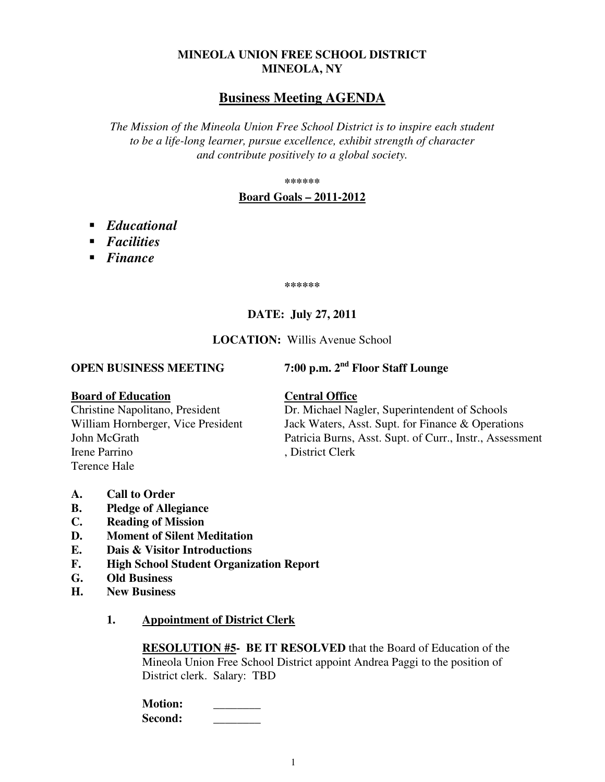# **MINEOLA UNION FREE SCHOOL DISTRICT MINEOLA, NY**

# **Business Meeting AGENDA**

*The Mission of the Mineola Union Free School District is to inspire each student to be a life-long learner, pursue excellence, exhibit strength of character and contribute positively to a global society.* 

**\*\*\*\*\*\*** 

### **Board Goals – 2011-2012**

- *Educational*
- *Facilities*
- *Finance*

**\*\*\*\*\*\*** 

# **DATE: July 27, 2011**

### **LOCATION:** Willis Avenue School

**OPEN BUSINESS MEETING 7:00 p.m. 2nd Floor Staff Lounge** 

**Board of Education**<br>Christine Napolitano, President **Central Office**<br>Dr. Michael Na Irene Parrino , District Clerk Terence Hale

Dr. Michael Nagler, Superintendent of Schools William Hornberger, Vice President Jack Waters, Asst. Supt. for Finance & Operations John McGrath Patricia Burns, Asst. Supt. of Curr., Instr., Assessment

- **A. Call to Order**
- **B. Pledge of Allegiance**
- **C. Reading of Mission**
- **D. Moment of Silent Meditation**
- **E. Dais & Visitor Introductions**
- **F. High School Student Organization Report**
- **G. Old Business**
- **H. New Business** 
	- **1. Appointment of District Clerk**

**RESOLUTION #5- BE IT RESOLVED** that the Board of Education of the Mineola Union Free School District appoint Andrea Paggi to the position of District clerk. Salary: TBD

| <b>Motion:</b> |  |
|----------------|--|
| Second:        |  |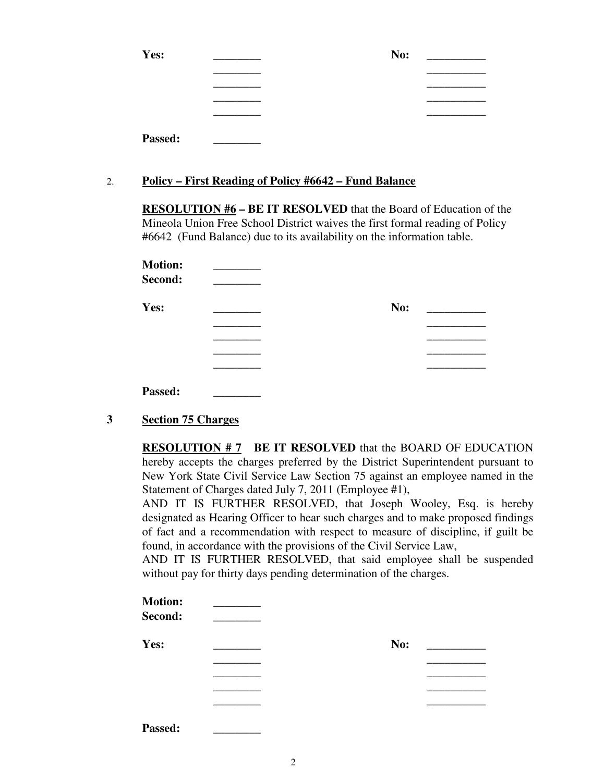| Yes:    | No: |
|---------|-----|
|         |     |
|         |     |
|         |     |
|         |     |
| Passed: |     |

# 2. **Policy – First Reading of Policy #6642 – Fund Balance**

**RESOLUTION #6 – BE IT RESOLVED** that the Board of Education of the Mineola Union Free School District waives the first formal reading of Policy #6642 (Fund Balance) due to its availability on the information table.

| <b>Motion:</b><br>Second: |     |  |
|---------------------------|-----|--|
| Yes:                      | No: |  |
|                           |     |  |
|                           |     |  |
|                           |     |  |
|                           |     |  |
| Passed:                   |     |  |

**3 Section 75 Charges**

**RESOLUTION # 7 BE IT RESOLVED** that the BOARD OF EDUCATION hereby accepts the charges preferred by the District Superintendent pursuant to New York State Civil Service Law Section 75 against an employee named in the Statement of Charges dated July 7, 2011 (Employee #1),

AND IT IS FURTHER RESOLVED, that Joseph Wooley, Esq. is hereby designated as Hearing Officer to hear such charges and to make proposed findings of fact and a recommendation with respect to measure of discipline, if guilt be found, in accordance with the provisions of the Civil Service Law,

AND IT IS FURTHER RESOLVED, that said employee shall be suspended without pay for thirty days pending determination of the charges.

| <b>Motion:</b><br>Second: |     |  |
|---------------------------|-----|--|
| Yes:                      | No: |  |
|                           |     |  |
|                           |     |  |
|                           |     |  |
|                           |     |  |
| ________                  |     |  |

Passed: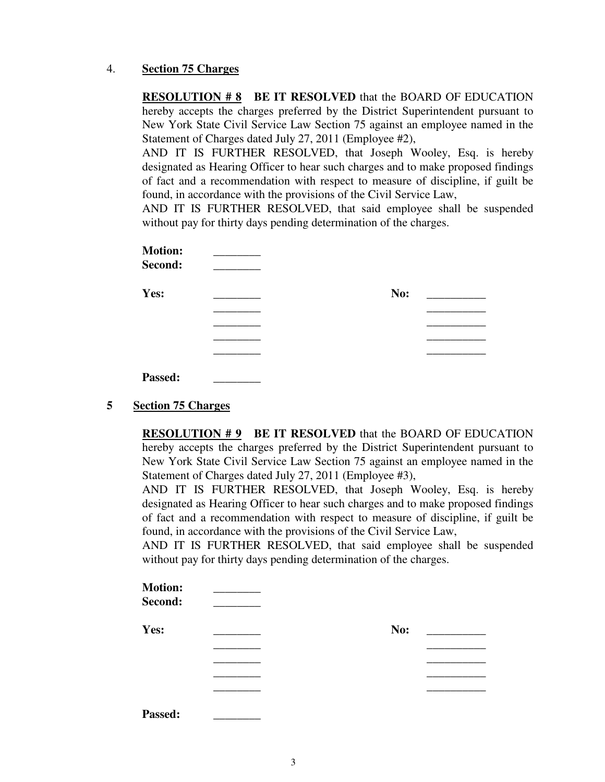## 4. **Section 75 Charges**

**RESOLUTION #8 BE IT RESOLVED** that the BOARD OF EDUCATION hereby accepts the charges preferred by the District Superintendent pursuant to New York State Civil Service Law Section 75 against an employee named in the Statement of Charges dated July 27, 2011 (Employee #2),

AND IT IS FURTHER RESOLVED, that Joseph Wooley, Esq. is hereby designated as Hearing Officer to hear such charges and to make proposed findings of fact and a recommendation with respect to measure of discipline, if guilt be found, in accordance with the provisions of the Civil Service Law,

AND IT IS FURTHER RESOLVED, that said employee shall be suspended without pay for thirty days pending determination of the charges.

| <b>Motion:</b><br>Second: |     |
|---------------------------|-----|
| Yes:                      | No: |
|                           |     |
|                           |     |
|                           |     |
|                           |     |
| Passed:                   |     |

# **5 Section 75 Charges**

**RESOLUTION # 9 BE IT RESOLVED** that the BOARD OF EDUCATION hereby accepts the charges preferred by the District Superintendent pursuant to New York State Civil Service Law Section 75 against an employee named in the Statement of Charges dated July 27, 2011 (Employee #3),

AND IT IS FURTHER RESOLVED, that Joseph Wooley, Esq. is hereby designated as Hearing Officer to hear such charges and to make proposed findings of fact and a recommendation with respect to measure of discipline, if guilt be found, in accordance with the provisions of the Civil Service Law,

AND IT IS FURTHER RESOLVED, that said employee shall be suspended without pay for thirty days pending determination of the charges.

| <b>Motion:</b><br>Second: |     |  |
|---------------------------|-----|--|
| Yes:                      | No: |  |
|                           |     |  |
|                           |     |  |
|                           |     |  |
|                           |     |  |
| Passed:                   |     |  |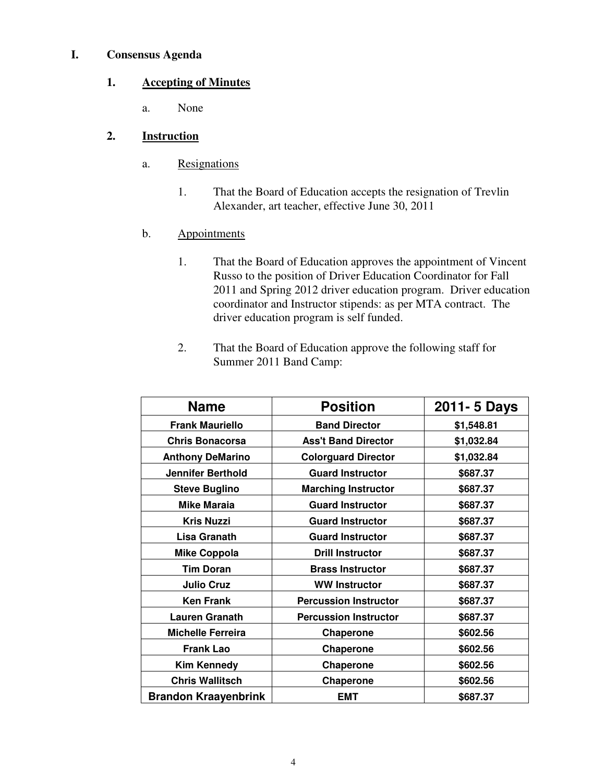## **I. Consensus Agenda**

# **1. Accepting of Minutes**

a. None

# **2. Instruction**

- a. Resignations
	- 1. That the Board of Education accepts the resignation of Trevlin Alexander, art teacher, effective June 30, 2011
- b. Appointments
	- 1. That the Board of Education approves the appointment of Vincent Russo to the position of Driver Education Coordinator for Fall 2011 and Spring 2012 driver education program. Driver education coordinator and Instructor stipends: as per MTA contract. The driver education program is self funded.
	- 2. That the Board of Education approve the following staff for Summer 2011 Band Camp:

| <b>Name</b>                 | <b>Position</b>              | 2011- 5 Days |
|-----------------------------|------------------------------|--------------|
| <b>Frank Mauriello</b>      | <b>Band Director</b>         | \$1,548.81   |
| <b>Chris Bonacorsa</b>      | <b>Ass't Band Director</b>   | \$1,032.84   |
| <b>Anthony DeMarino</b>     | <b>Colorguard Director</b>   | \$1,032.84   |
| <b>Jennifer Berthold</b>    | <b>Guard Instructor</b>      | \$687.37     |
| <b>Steve Buglino</b>        | <b>Marching Instructor</b>   | \$687.37     |
| <b>Mike Maraia</b>          | <b>Guard Instructor</b>      | \$687.37     |
| <b>Kris Nuzzi</b>           | <b>Guard Instructor</b>      | \$687.37     |
| Lisa Granath                | <b>Guard Instructor</b>      | \$687.37     |
| <b>Mike Coppola</b>         | <b>Drill Instructor</b>      | \$687.37     |
| <b>Tim Doran</b>            | <b>Brass Instructor</b>      | \$687.37     |
| <b>Julio Cruz</b>           | <b>WW Instructor</b>         | \$687.37     |
| <b>Ken Frank</b>            | <b>Percussion Instructor</b> | \$687.37     |
| <b>Lauren Granath</b>       | <b>Percussion Instructor</b> | \$687.37     |
| <b>Michelle Ferreira</b>    | Chaperone                    | \$602.56     |
| <b>Frank Lao</b>            | Chaperone                    | \$602.56     |
| <b>Kim Kennedy</b>          | Chaperone                    | \$602.56     |
| <b>Chris Wallitsch</b>      | <b>Chaperone</b>             | \$602.56     |
| <b>Brandon Kraayenbrink</b> | <b>EMT</b>                   | \$687.37     |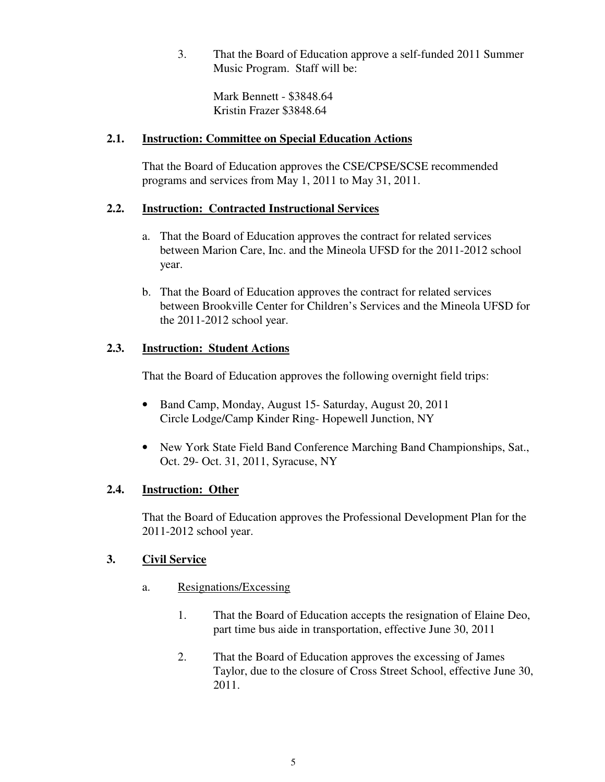3. That the Board of Education approve a self-funded 2011 Summer Music Program. Staff will be:

Mark Bennett - \$3848.64 Kristin Frazer \$3848.64

## **2.1. Instruction: Committee on Special Education Actions**

 That the Board of Education approves the CSE/CPSE/SCSE recommended programs and services from May 1, 2011 to May 31, 2011.

# **2.2. Instruction: Contracted Instructional Services**

- a. That the Board of Education approves the contract for related services between Marion Care, Inc. and the Mineola UFSD for the 2011-2012 school year.
- b. That the Board of Education approves the contract for related services between Brookville Center for Children's Services and the Mineola UFSD for the 2011-2012 school year.

# **2.3. Instruction: Student Actions**

That the Board of Education approves the following overnight field trips:

- Band Camp, Monday, August 15- Saturday, August 20, 2011 Circle Lodge/Camp Kinder Ring- Hopewell Junction, NY
- New York State Field Band Conference Marching Band Championships, Sat., Oct. 29- Oct. 31, 2011, Syracuse, NY

# **2.4. Instruction: Other**

That the Board of Education approves the Professional Development Plan for the 2011-2012 school year.

# **3. Civil Service**

- a. Resignations/Excessing
	- 1. That the Board of Education accepts the resignation of Elaine Deo, part time bus aide in transportation, effective June 30, 2011
	- 2. That the Board of Education approves the excessing of James Taylor, due to the closure of Cross Street School, effective June 30, 2011.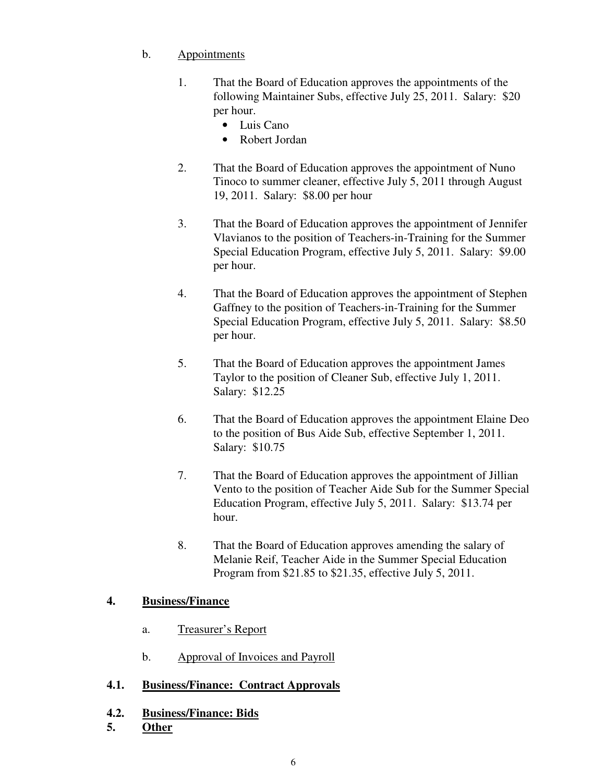# b. Appointments

- 1. That the Board of Education approves the appointments of the following Maintainer Subs, effective July 25, 2011. Salary: \$20 per hour.
	- Luis Cano
	- Robert Jordan
- 2. That the Board of Education approves the appointment of Nuno Tinoco to summer cleaner, effective July 5, 2011 through August 19, 2011. Salary: \$8.00 per hour
- 3. That the Board of Education approves the appointment of Jennifer Vlavianos to the position of Teachers-in-Training for the Summer Special Education Program, effective July 5, 2011. Salary: \$9.00 per hour.
- 4. That the Board of Education approves the appointment of Stephen Gaffney to the position of Teachers-in-Training for the Summer Special Education Program, effective July 5, 2011. Salary: \$8.50 per hour.
- 5. That the Board of Education approves the appointment James Taylor to the position of Cleaner Sub, effective July 1, 2011. Salary: \$12.25
- 6. That the Board of Education approves the appointment Elaine Deo to the position of Bus Aide Sub, effective September 1, 2011. Salary: \$10.75
- 7. That the Board of Education approves the appointment of Jillian Vento to the position of Teacher Aide Sub for the Summer Special Education Program, effective July 5, 2011. Salary: \$13.74 per hour.
- 8. That the Board of Education approves amending the salary of Melanie Reif, Teacher Aide in the Summer Special Education Program from \$21.85 to \$21.35, effective July 5, 2011.

# **4. Business/Finance**

- a. Treasurer's Report
- b. Approval of Invoices and Payroll

# **4.1. Business/Finance: Contract Approvals**

- **4.2. Business/Finance: Bids**
- **5. Other**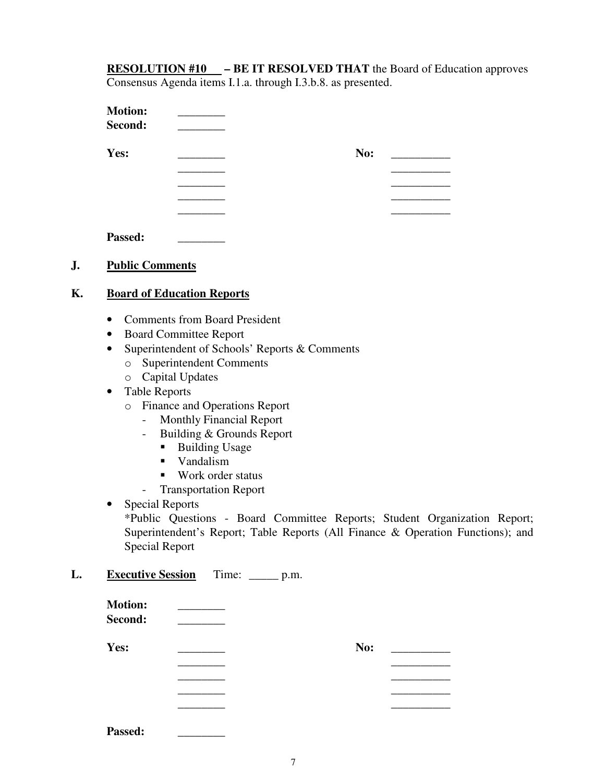**RESOLUTION #10 – BE IT RESOLVED THAT** the Board of Education approves Consensus Agenda items I.1.a. through I.3.b.8. as presented.

| No: |  |
|-----|--|
|     |  |
|     |  |
|     |  |
|     |  |
|     |  |

## **J. Public Comments**

## **K. Board of Education Reports**

- Comments from Board President
- Board Committee Report
- Superintendent of Schools' Reports & Comments
	- o Superintendent Comments
	- o Capital Updates
- Table Reports
	- o Finance and Operations Report
		- Monthly Financial Report
		- Building & Grounds Report
			- Building Usage
			- **Vandalism**
			- Work order status
		- Transportation Report
- Special Reports

\*Public Questions - Board Committee Reports; Student Organization Report; Superintendent's Report; Table Reports (All Finance & Operation Functions); and Special Report

### L. Executive Session Time: \_\_\_\_\_ p.m.

| <b>Motion:</b><br>Second: |     |
|---------------------------|-----|
| Yes:                      | No: |
|                           |     |
|                           |     |
|                           |     |
|                           |     |

| <b>Passed:</b> |
|----------------|
|                |